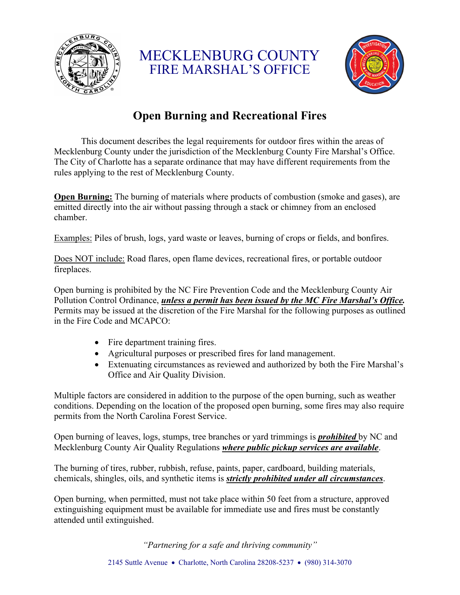

MECKLENBURG COUNTY FIRE MARSHAL'S OFFICE



# **Open Burning and Recreational Fires**

This document describes the legal requirements for outdoor fires within the areas of Mecklenburg County under the jurisdiction of the Mecklenburg County Fire Marshal's Office. The City of Charlotte has a separate ordinance that may have different requirements from the rules applying to the rest of Mecklenburg County.

**Open Burning:** The burning of materials where products of combustion (smoke and gases), are emitted directly into the air without passing through a stack or chimney from an enclosed chamber.

Examples: Piles of brush, logs, yard waste or leaves, burning of crops or fields, and bonfires.

Does NOT include: Road flares, open flame devices, recreational fires, or portable outdoor fireplaces.

Open burning is prohibited by the NC Fire Prevention Code and the Mecklenburg County Air Pollution Control Ordinance, *unless a permit has been issued by the MC Fire Marshal's Office.* Permits may be issued at the discretion of the Fire Marshal for the following purposes as outlined in the Fire Code and MCAPCO:

- Fire department training fires.
- Agricultural purposes or prescribed fires for land management.
- Extenuating circumstances as reviewed and authorized by both the Fire Marshal's Office and Air Quality Division.

Multiple factors are considered in addition to the purpose of the open burning, such as weather conditions. Depending on the location of the proposed open burning, some fires may also require permits from the North Carolina Forest Service.

Open burning of leaves, logs, stumps, tree branches or yard trimmings is *prohibited* by NC and Mecklenburg County Air Quality Regulations *where public pickup services are available*.

The burning of tires, rubber, rubbish, refuse, paints, paper, cardboard, building materials, chemicals, shingles, oils, and synthetic items is *strictly prohibited under all circumstances*.

Open burning, when permitted, must not take place within 50 feet from a structure, approved extinguishing equipment must be available for immediate use and fires must be constantly attended until extinguished.

*"Partnering for a safe and thriving community"*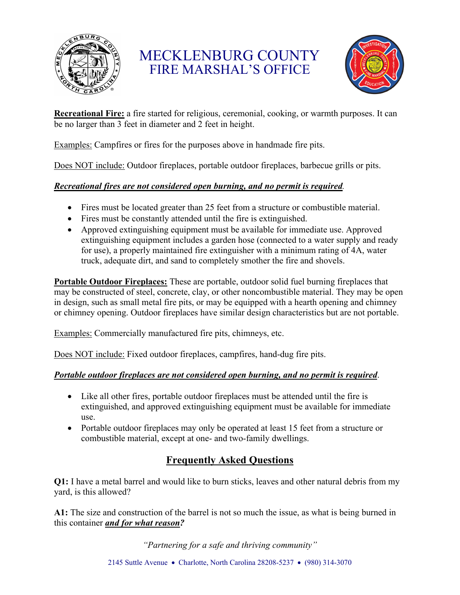

MECKLENBURG COUNTY FIRE MARSHAL'S OFFICE



**Recreational Fire:** a fire started for religious, ceremonial, cooking, or warmth purposes. It can be no larger than 3 feet in diameter and 2 feet in height.

Examples: Campfires or fires for the purposes above in handmade fire pits.

Does NOT include: Outdoor fireplaces, portable outdoor fireplaces, barbecue grills or pits.

### *Recreational fires are not considered open burning, and no permit is required.*

- Fires must be located greater than 25 feet from a structure or combustible material.
- Fires must be constantly attended until the fire is extinguished.
- Approved extinguishing equipment must be available for immediate use. Approved extinguishing equipment includes a garden hose (connected to a water supply and ready for use), a properly maintained fire extinguisher with a minimum rating of 4A, water truck, adequate dirt, and sand to completely smother the fire and shovels.

**Portable Outdoor Fireplaces:** These are portable, outdoor solid fuel burning fireplaces that may be constructed of steel, concrete, clay, or other noncombustible material. They may be open in design, such as small metal fire pits, or may be equipped with a hearth opening and chimney or chimney opening. Outdoor fireplaces have similar design characteristics but are not portable.

Examples: Commercially manufactured fire pits, chimneys, etc.

Does NOT include: Fixed outdoor fireplaces, campfires, hand-dug fire pits.

## *Portable outdoor fireplaces are not considered open burning, and no permit is required*.

- Like all other fires, portable outdoor fireplaces must be attended until the fire is extinguished, and approved extinguishing equipment must be available for immediate use.
- Portable outdoor fireplaces may only be operated at least 15 feet from a structure or combustible material, except at one- and two-family dwellings.

## **Frequently Asked Questions**

**Q1:** I have a metal barrel and would like to burn sticks, leaves and other natural debris from my yard, is this allowed?

**A1:** The size and construction of the barrel is not so much the issue, as what is being burned in this container *and for what reason?*

*"Partnering for a safe and thriving community"*